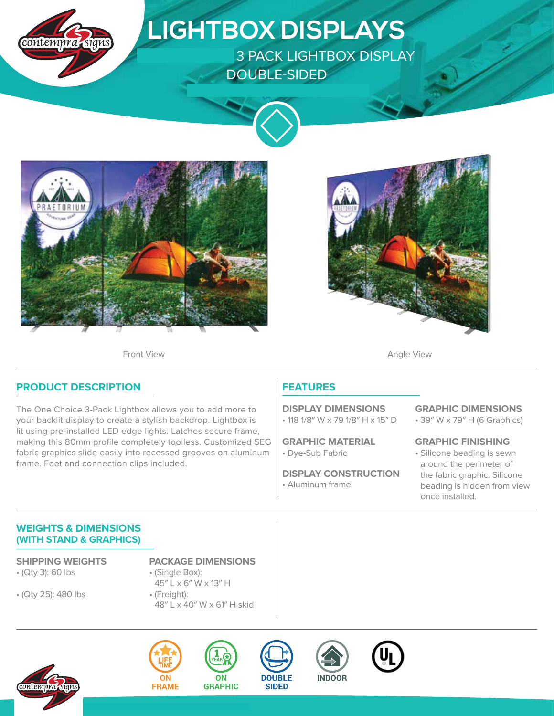

# **LIGHTBOX DISPLAYS**

**3 PACK LIGHTBOX DISPLAY** DOUBLE-SIDED









## **PRODUCT DESCRIPTION**

The One Choice 3-Pack Lightbox allows you to add more to your backlit display to create a stylish backdrop. Lightbox is lit using pre-installed LED edge lights. Latches secure frame, making this 80mm profile completely toolless. Customized SEG fabric graphics slide easily into recessed grooves on aluminum frame. Feet and connection clips included.

## **FEATURES**

• 118 1/8″ W x 79 1/8″ H x 15″ D **DISPLAY DIMENSIONS**

• Dye-Sub Fabric **GRAPHIC MATERIAL**

**DISPLAY CONSTRUCTION**

• Aluminum frame

#### **GRAPHIC DIMENSIONS**

• 39″ W x 79″ H (6 Graphics)

**GRAPHIC FINISHING**

• Silicone beading is sewn around the perimeter of the fabric graphic. Silicone beading is hidden from view once installed.

### **WEIGHTS & DIMENSIONS (WITH STAND & GRAPHICS)**

- (Qty 3): 60 lbs
- (Qty 25): 480 lbs
- **SHIPPING WEIGHTS PACKAGE DIMENSIONS**
	- (Single Box): 45″ L x 6″ W x 13″ H
	- (Freight): 48″ L x 40″ W x 61″ H skid

ON









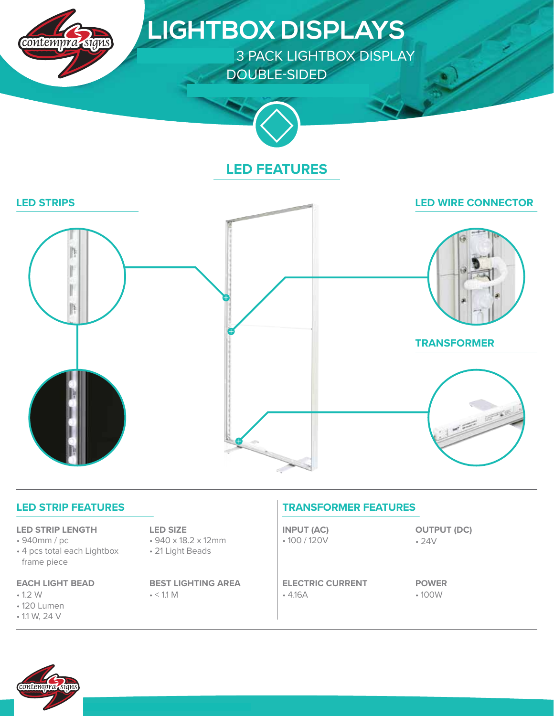

# **LIGHTBOX DISPLAYS**

3 PACK LIGHTBOX DISPLAY DOUBLE-SIDED



## **LED FEATURES**



| <b>LED STRIP FEATURES</b> |  |
|---------------------------|--|
|---------------------------|--|

#### **LED STRIP LENGTH**

- 940mm / pc
- 4 pcs total each Lightbox frame piece

#### **EACH LIGHT BEAD**

- 1.2 W
- 120 Lumen
- 1.1 W, 24 V

#### **LED SIZE**

- 940 x 18.2 x 12mm
- 21 Light Beads

 $\cdot$  < 1.1 M **BEST LIGHTING AREA**

## **TRANSFORMER FEATURES**

• 100 / 120V **INPUT (AC)**

• 4.16A **ELECTRIC CURRENT** • 24V **OUTPUT (DC)**

• 100W **POWER**

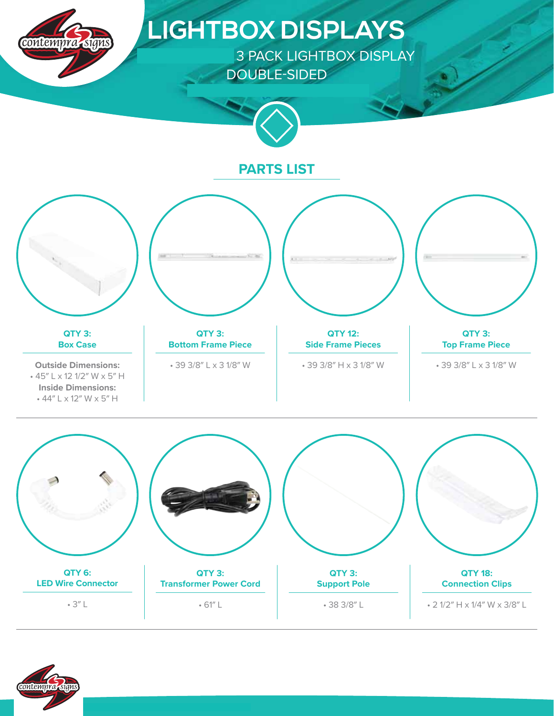